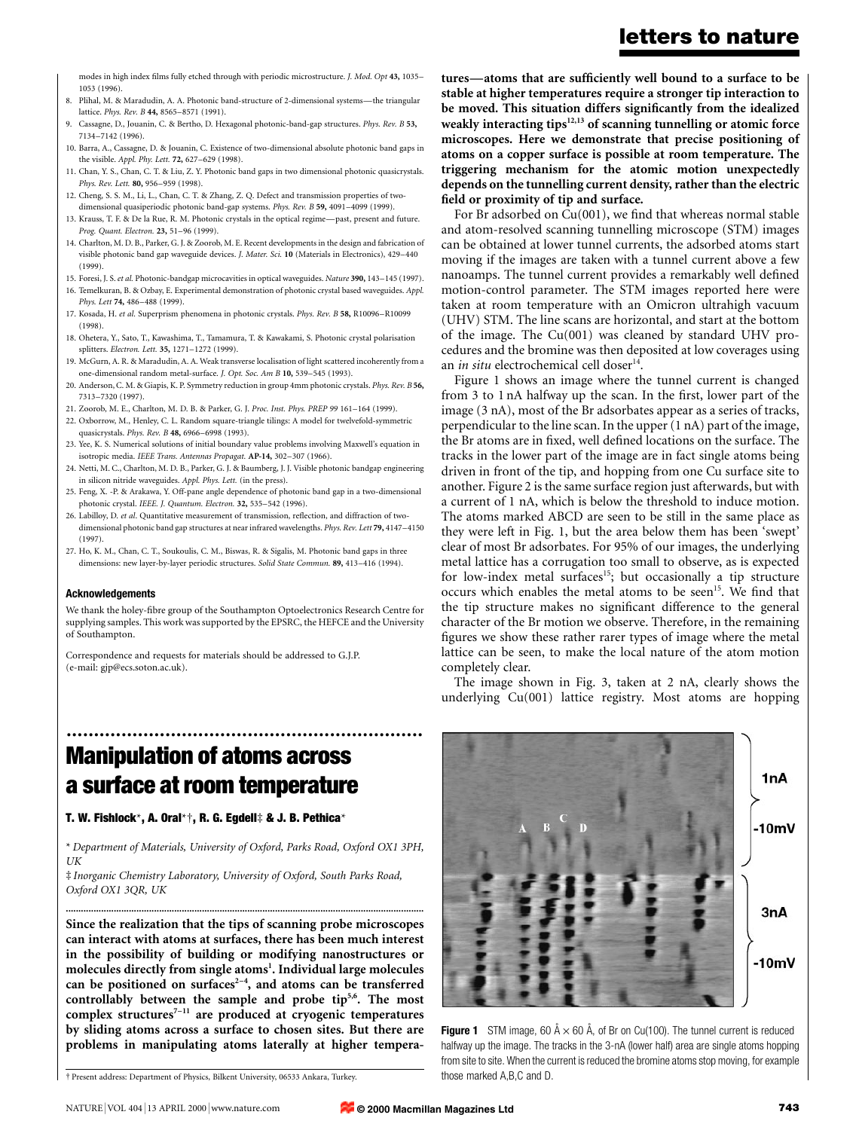letters to nature

modes in high index films fully etched through with periodic microstructure. J. Mod. Opt 43, 1035-1053 (1996).

- 8. Plihal, M. & Maradudin, A. A. Photonic band-structure of 2-dimensional systems—the triangular lattice. Phys. Rev. B 44, 8565-8571 (1991).
- 9. Cassagne, D., Jouanin, C. & Bertho, D. Hexagonal photonic-band-gap structures. Phys. Rev. B 53, 7134±7142 (1996).
- 10. Barra, A., Cassagne, D. & Jouanin, C. Existence of two-dimensional absolute photonic band gaps in the visible. Appl. Phy. Lett. 72, 627-629 (1998).
- 11. Chan, Y. S., Chan, C. T. & Liu, Z. Y. Photonic band gaps in two dimensional photonic quasicrystals. Phys. Rev. Lett. 80, 956-959 (1998).
- 12. Cheng, S. S. M., Li, L., Chan, C. T. & Zhang, Z. Q. Defect and transmission properties of twodimensional quasiperiodic photonic band-gap systems. Phys. Rev. B 59, 4091-4099 (1999).
- 13. Krauss, T. F. & De la Rue, R. M. Photonic crystals in the optical regime-past, present and future. Prog. Quant. Electron. 23, 51-96 (1999).
- 14. Charlton, M. D. B., Parker, G. J. & Zoorob, M. E. Recent developments in the design and fabrication of visible photonic band gap waveguide devices. J. Mater. Sci. 10 (Materials in Electronics), 429-440 (1999).
- 15. Foresi, J. S. et al. Photonic-bandgap microcavities in optical waveguides. Nature 390, 143-145 (1997). 16. Temelkuran, B. & Ozbay, E. Experimental demonstration of photonic crystal based waveguides. Appl. Phys. Lett 74, 486-488 (1999).
- 17. Kosada, H. et al. Superprism phenomena in photonic crystals. Phys. Rev. B 58, R10096-R10099 (1998).
- 18. Ohetera, Y., Sato, T., Kawashima, T., Tamamura, T. & Kawakami, S. Photonic crystal polarisation splitters. Electron. Lett. 35, 1271-1272 (1999).
- 19. McGurn, A. R. & Maradudin, A. A. Weak transverse localisation of light scattered incoherently from a one-dimensional random metal-surface. J. Opt. Soc. Am B 10, 539-545 (1993).
- 20. Anderson, C. M. & Giapis, K. P. Symmetry reduction in group 4mm photonic crystals. Phys. Rev. B 56, 7313±7320 (1997).
- 21. Zoorob, M. E., Charlton, M. D. B. & Parker, G. J. Proc. Inst. Phys. PREP 99 161-164 (1999).
- 22. Oxborrow, M., Henley, C. L. Random square-triangle tilings: A model for twelvefold-symmetric quasicrystals. Phys. Rev. B 48, 6966-6998 (1993).
- 23. Yee, K. S. Numerical solutions of initial boundary value problems involving Maxwell's equation in isotropic media. IEEE Trans. Antennas Propagat. AP-14, 302-307 (1966).
- 24. Netti, M. C., Charlton, M. D. B., Parker, G. J. & Baumberg, J. J. Visible photonic bandgap engineering in silicon nitride waveguides. Appl. Phys. Lett. (in the press).
- 25. Feng, X. -P. & Arakawa, Y. Off-pane angle dependence of photonic band gap in a two-dimensional photonic crystal. IEEE. J. Quantum. Electron. 32, 535-542 (1996).
- 26. Labilloy, D. et al. Quantitative measurement of transmission, reflection, and diffraction of twodimensional photonic band gap structures at near infrared wavelengths. Phys. Rev. Lett 79, 4147-4150 (1997).
- 27. Ho, K. M., Chan, C. T., Soukoulis, C. M., Biswas, R. & Sigalis, M. Photonic band gaps in three dimensions: new layer-by-layer periodic structures. Solid State Commun. 89, 413-416 (1994).

## **Acknowledgements**

We thank the holey-fibre group of the Southampton Optoelectronics Research Centre for supplying samples. This work was supported by the EPSRC, the HEFCE and the University of Southampton.

Correspondence and requests for materials should be addressed to G.J.P. (e-mail: gjp@ecs.soton.ac.uk).

tures—atoms that are sufficiently well bound to a surface to be stable at higher temperatures require a stronger tip interaction to be moved. This situation differs significantly from the idealized weakly interacting tips $12,13$  of scanning tunnelling or atomic force microscopes. Here we demonstrate that precise positioning of atoms on a copper surface is possible at room temperature. The triggering mechanism for the atomic motion unexpectedly depends on the tunnelling current density, rather than the electric field or proximity of tip and surface.

For Br adsorbed on  $Cu(001)$ , we find that whereas normal stable and atom-resolved scanning tunnelling microscope (STM) images can be obtained at lower tunnel currents, the adsorbed atoms start moving if the images are taken with a tunnel current above a few nanoamps. The tunnel current provides a remarkably well defined motion-control parameter. The STM images reported here were taken at room temperature with an Omicron ultrahigh vacuum (UHV) STM. The line scans are horizontal, and start at the bottom of the image. The Cu(001) was cleaned by standard UHV procedures and the bromine was then deposited at low coverages using an *in situ* electrochemical cell doser<sup>14</sup>.

Figure 1 shows an image where the tunnel current is changed from 3 to 1 nA halfway up the scan. In the first, lower part of the image (3 nA), most of the Br adsorbates appear as a series of tracks, perpendicular to the line scan. In the upper (1 nA) part of the image, the Br atoms are in fixed, well defined locations on the surface. The tracks in the lower part of the image are in fact single atoms being driven in front of the tip, and hopping from one Cu surface site to another. Figure 2 is the same surface region just afterwards, but with a current of 1 nA, which is below the threshold to induce motion. The atoms marked ABCD are seen to be still in the same place as they were left in Fig. 1, but the area below them has been `swept' clear of most Br adsorbates. For 95% of our images, the underlying metal lattice has a corrugation too small to observe, as is expected for low-index metal surfaces<sup>15</sup>; but occasionally a tip structure occurs which enables the metal atoms to be seen<sup>15</sup>. We find that the tip structure makes no significant difference to the general character of the Br motion we observe. Therefore, in the remaining figures we show these rather rarer types of image where the metal lattice can be seen, to make the local nature of the atom motion completely clear.

The image shown in Fig. 3, taken at 2 nA, clearly shows the underlying Cu(001) lattice registry. Most atoms are hopping



T. W. Fishlock\*, A. Oral\*†, R. G. Egdell‡ & J. B. Pethica\*

\* Department of Materials, University of Oxford, Parks Road, Oxford OX1 3PH, UK

..............................................................................................................................................

³ Inorganic Chemistry Laboratory, University of Oxford, South Parks Road, Oxford OX1 3QR, UK

Since the realization that the tips of scanning probe microscopes can interact with atoms at surfaces, there has been much interest in the possibility of building or modifying nanostructures or molecules directly from single atoms<sup>1</sup>. Individual large molecules can be positioned on surfaces $2-4$ , and atoms can be transferred controllably between the sample and probe tip<sup>5,6</sup>. The most complex structures<sup>7-11</sup> are produced at cryogenic temperatures by sliding atoms across a surface to chosen sites. But there are problems in manipulating atoms laterally at higher tempera-



**Figure 1** STM image, 60  $\AA \times 60$   $\AA$ , of Br on Cu(100). The tunnel current is reduced halfway up the image. The tracks in the 3-nA (lower half) area are single atoms hopping from site to site. When the current is reduced the bromine atoms stop moving, for example

² Present address: Department of Physics, Bilkent University, 06533 Ankara, Turkey. those marked A,B,C and D.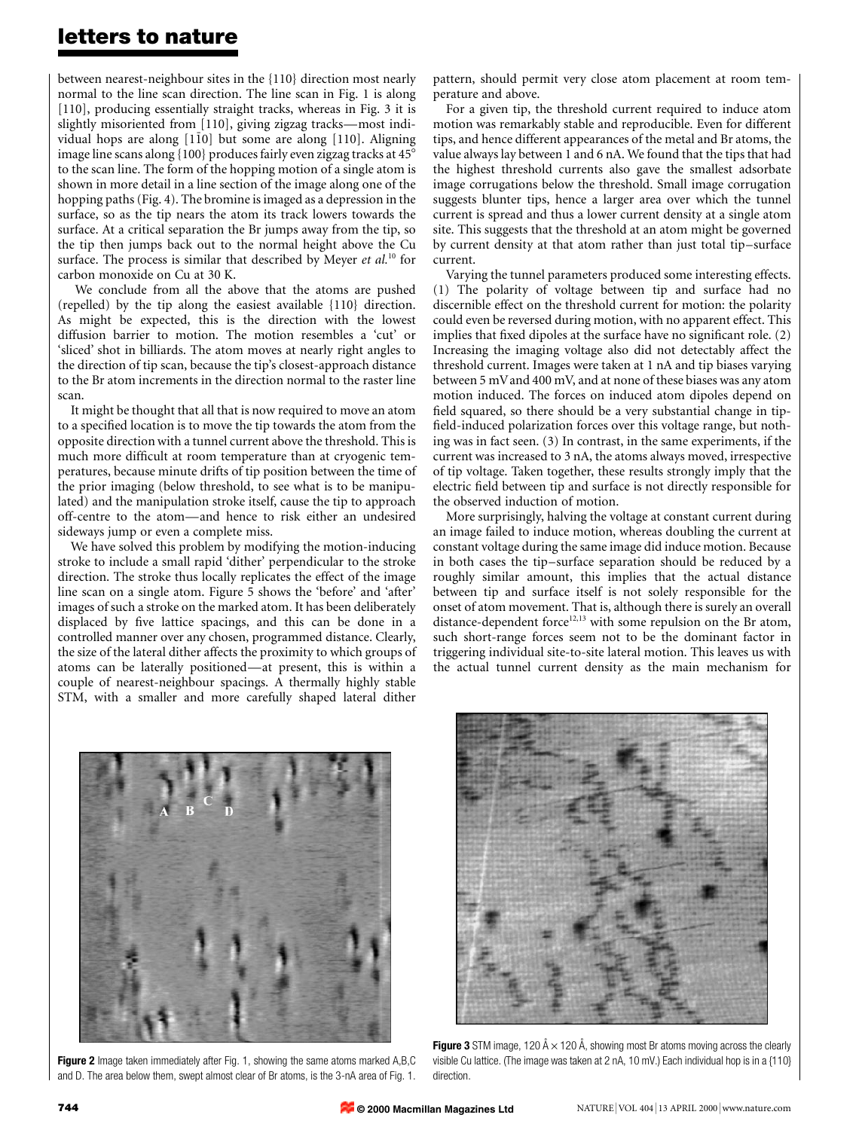## letters to nature

between nearest-neighbour sites in the {110} direction most nearly normal to the line scan direction. The line scan in Fig. 1 is along [110], producing essentially straight tracks, whereas in Fig. 3 it is slightly misoriented from [110], giving zigzag tracks—most individual hops are along  $[1\bar{1}0]$  but some are along  $[110]$ . Aligning image line scans along  $\{100\}$  produces fairly even zigzag tracks at  $45^{\circ}$ to the scan line. The form of the hopping motion of a single atom is shown in more detail in a line section of the image along one of the hopping paths (Fig. 4). The bromine is imaged as a depression in the surface, so as the tip nears the atom its track lowers towards the surface. At a critical separation the Br jumps away from the tip, so the tip then jumps back out to the normal height above the Cu surface. The process is similar that described by Meyer et  $al.^{10}$  for carbon monoxide on Cu at 30 K.

We conclude from all the above that the atoms are pushed (repelled) by the tip along the easiest available {110} direction. As might be expected, this is the direction with the lowest diffusion barrier to motion. The motion resembles a `cut' or `sliced' shot in billiards. The atom moves at nearly right angles to the direction of tip scan, because the tip's closest-approach distance to the Br atom increments in the direction normal to the raster line scan.

It might be thought that all that is now required to move an atom to a specified location is to move the tip towards the atom from the opposite direction with a tunnel current above the threshold. This is much more difficult at room temperature than at cryogenic temperatures, because minute drifts of tip position between the time of the prior imaging (below threshold, to see what is to be manipulated) and the manipulation stroke itself, cause the tip to approach off-centre to the atom—and hence to risk either an undesired sideways jump or even a complete miss.

We have solved this problem by modifying the motion-inducing stroke to include a small rapid `dither' perpendicular to the stroke direction. The stroke thus locally replicates the effect of the image line scan on a single atom. Figure 5 shows the `before' and `after' images of such a stroke on the marked atom. It has been deliberately displaced by five lattice spacings, and this can be done in a controlled manner over any chosen, programmed distance. Clearly, the size of the lateral dither affects the proximity to which groups of atoms can be laterally positioned—at present, this is within a couple of nearest-neighbour spacings. A thermally highly stable STM, with a smaller and more carefully shaped lateral dither

pattern, should permit very close atom placement at room temperature and above.

For a given tip, the threshold current required to induce atom motion was remarkably stable and reproducible. Even for different tips, and hence different appearances of the metal and Br atoms, the value always lay between 1 and 6 nA. We found that the tips that had the highest threshold currents also gave the smallest adsorbate image corrugations below the threshold. Small image corrugation suggests blunter tips, hence a larger area over which the tunnel current is spread and thus a lower current density at a single atom site. This suggests that the threshold at an atom might be governed by current density at that atom rather than just total tip-surface current.

Varying the tunnel parameters produced some interesting effects. (1) The polarity of voltage between tip and surface had no discernible effect on the threshold current for motion: the polarity could even be reversed during motion, with no apparent effect. This implies that fixed dipoles at the surface have no significant role.  $(2)$ Increasing the imaging voltage also did not detectably affect the threshold current. Images were taken at 1 nA and tip biases varying between 5 mVand 400 mV, and at none of these biases was any atom motion induced. The forces on induced atom dipoles depend on field squared, so there should be a very substantial change in tipfield-induced polarization forces over this voltage range, but nothing was in fact seen. (3) In contrast, in the same experiments, if the current was increased to 3 nA, the atoms always moved, irrespective of tip voltage. Taken together, these results strongly imply that the electric field between tip and surface is not directly responsible for the observed induction of motion.

More surprisingly, halving the voltage at constant current during an image failed to induce motion, whereas doubling the current at constant voltage during the same image did induce motion. Because in both cases the tip-surface separation should be reduced by a roughly similar amount, this implies that the actual distance between tip and surface itself is not solely responsible for the onset of atom movement. That is, although there is surely an overall distance-dependent force<sup>12,13</sup> with some repulsion on the Br atom, such short-range forces seem not to be the dominant factor in triggering individual site-to-site lateral motion. This leaves us with the actual tunnel current density as the main mechanism for



Figure 2 Image taken immediately after Fig. 1, showing the same atoms marked A,B,C and D. The area below them, swept almost clear of Br atoms, is the 3-nA area of Fig. 1.



**Figure 3** STM image, 120  $\AA \times 120$   $\AA$ , showing most Br atoms moving across the clearly visible Cu lattice. (The image was taken at 2 nA, 10 mV.) Each individual hop is in a {110} direction.

**© 2000 Macmillan Magazines Ltd**